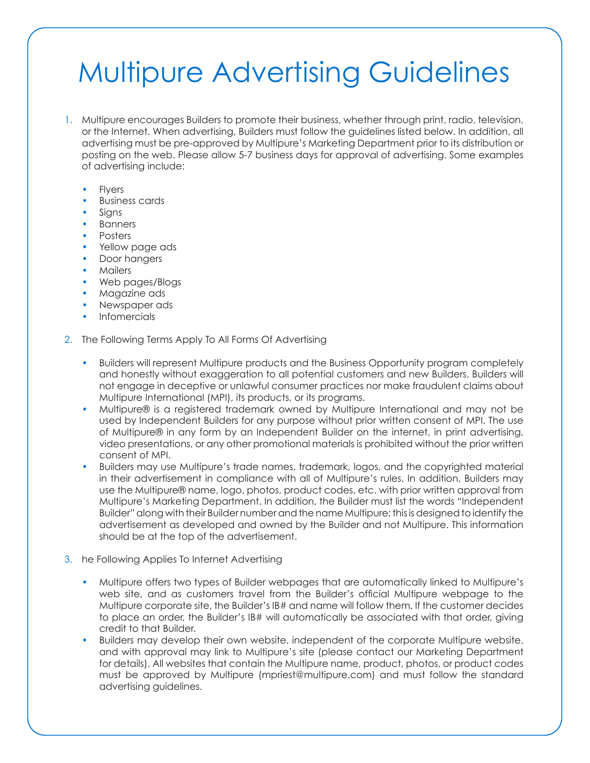## Multipure Advertising Guidelines

- 1. Multipure encourages Builders to promote their business, whether through print, radio, television, or the Internet. When advertising, Builders must follow the guidelines listed below. In addition, all advertising must be pre-approved by Multipure's Marketing Department prior to its distribution or posting on the web. Please allow 5-7 business days for approval of advertising. Some examples of advertising include:
	- **Flyers**
	- **Business cards**
	- Signs
	- **Banners**
	- Posters
	- Yellow page ads
	- Door hangers
	- Mailers
	- Web pages/Blogs
	- Magazine ads
	- Newspaper ads
	- **Infomercials**
- 2. The Following Terms Apply To All Forms Of Advertising
	- Builders will represent Multipure products and the Business Opportunity program completely and honestly without exaggeration to all potential customers and new Builders. Builders will not engage in deceptive or unlawful consumer practices nor make fraudulent claims about Multipure International (MPI), its products, or its programs.
	- Multipure® is a registered trademark owned by Multipure International and may not be used by Independent Builders for any purpose without prior written consent of MPI. The use of Multipure® in any form by an Independent Builder on the internet, in print advertising, video presentations, or any other promotional materials is prohibited without the prior written consent of MPI.
	- Builders may use Multipure's trade names, trademark, logos, and the copyrighted material in their advertisement in compliance with all of Multipure's rules. In addition, Builders may use the Multipure® name, logo, photos, product codes, etc. with prior written approval from Multipure's Marketing Department. In addition, the Builder must list the words "Independent Builder" along with their Builder number and the name Multipure; this is designed to identify the advertisement as developed and owned by the Builder and not Multipure. This information should be at the top of the advertisement.
- 3. he Following Applies To Internet Advertising
	- Multipure offers two types of Builder webpages that are automatically linked to Multipure's web site, and as customers travel from the Builder's official Multipure webpage to the Multipure corporate site, the Builder's IB# and name will follow them. If the customer decides to place an order, the Builder's IB# will automatically be associated with that order, giving credit to that Builder.
	- Builders may develop their own website, independent of the corporate Multipure website, and with approval may link to Multipure's site (please contact our Marketing Department for details). All websites that contain the Multipure name, product, photos, or product codes must be approved by Multipure (mpriest@multipure.com) and must follow the standard advertising guidelines.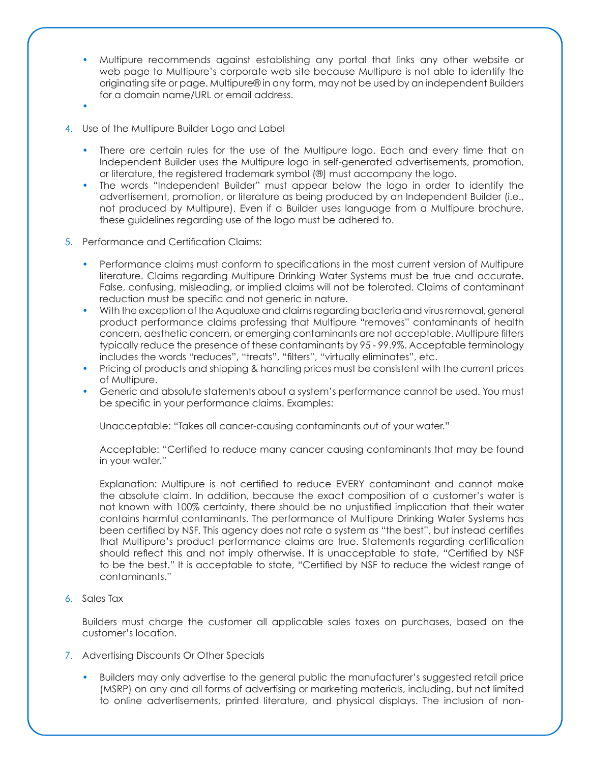- Multipure recommends against establishing any portal that links any other website or web page to Multipure's corporate web site because Multipure is not able to identify the originating site or page. Multipure® in any form, may not be used by an independent Builders for a domain name/URL or email address.
- •
- 4. Use of the Multipure Builder Logo and Label
	- There are certain rules for the use of the Multipure logo. Each and every time that an Independent Builder uses the Multipure logo in self-generated advertisements, promotion, or literature, the registered trademark symbol (®) must accompany the logo.
	- The words "Independent Builder" must appear below the logo in order to identify the advertisement, promotion, or literature as being produced by an Independent Builder (i.e., not produced by Multipure). Even if a Builder uses language from a Multipure brochure, these guidelines regarding use of the logo must be adhered to.
- 5. Performance and Certification Claims:
	- Performance claims must conform to specifications in the most current version of Multipure literature. Claims regarding Multipure Drinking Water Systems must be true and accurate. False, confusing, misleading, or implied claims will not be tolerated. Claims of contaminant reduction must be specific and not generic in nature.
	- With the exception of the Aqualuxe and claims regarding bacteria and virus removal, general product performance claims professing that Multipure "removes" contaminants of health concern, aesthetic concern, or emerging contaminants are not acceptable. Multipure filters typically reduce the presence of these contaminants by 95 - 99.9%. Acceptable terminology includes the words "reduces", "treats", "filters", "virtually eliminates", etc.
	- Pricing of products and shipping & handling prices must be consistent with the current prices of Multipure.
	- Generic and absolute statements about a system's performance cannot be used. You must be specific in your performance claims. Examples:

Unacceptable: "Takes all cancer-causing contaminants out of your water."

Acceptable: "Certified to reduce many cancer causing contaminants that may be found in your water."

Explanation: Multipure is not certified to reduce EVERY contaminant and cannot make the absolute claim. In addition, because the exact composition of a customer's water is not known with 100% certainty, there should be no unjustified implication that their water contains harmful contaminants. The performance of Multipure Drinking Water Systems has been certified by NSF. This agency does not rate a system as "the best", but instead certifies that Multipure's product performance claims are true. Statements regarding certification should reflect this and not imply otherwise. It is unacceptable to state, "Certified by NSF to be the best." It is acceptable to state, "Certified by NSF to reduce the widest range of contaminants."

6. Sales Tax

Builders must charge the customer all applicable sales taxes on purchases, based on the customer's location.

- 7. Advertising Discounts Or Other Specials
	- Builders may only advertise to the general public the manufacturer's suggested retail price (MSRP) on any and all forms of advertising or marketing materials, including, but not limited to online advertisements, printed literature, and physical displays. The inclusion of non-